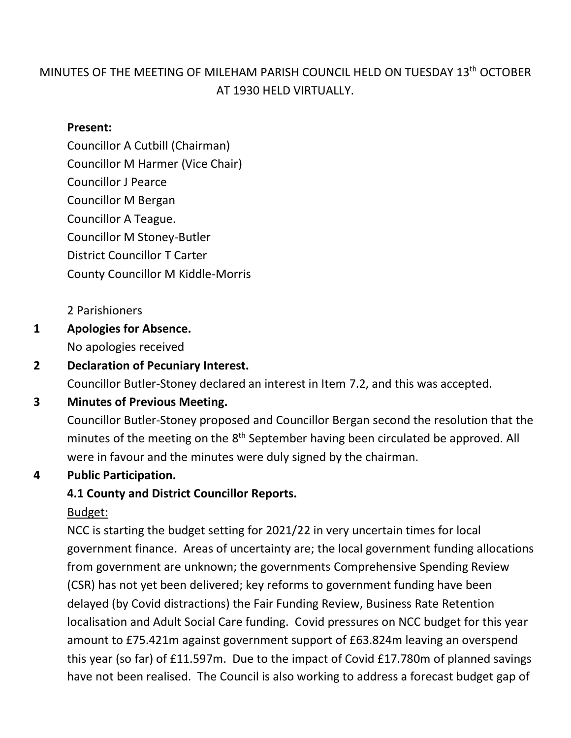## MINUTES OF THE MEETING OF MILEHAM PARISH COUNCIL HELD ON TUESDAY 13th OCTOBER AT 1930 HELD VIRTUALLY.

#### **Present:**

Councillor A Cutbill (Chairman) Councillor M Harmer (Vice Chair) Councillor J Pearce Councillor M Bergan Councillor A Teague. Councillor M Stoney-Butler District Councillor T Carter County Councillor M Kiddle-Morris

2 Parishioners

**1 Apologies for Absence.** No apologies received

## **2 Declaration of Pecuniary Interest.**

Councillor Butler-Stoney declared an interest in Item 7.2, and this was accepted.

### **3 Minutes of Previous Meeting.**

Councillor Butler-Stoney proposed and Councillor Bergan second the resolution that the minutes of the meeting on the 8<sup>th</sup> September having been circulated be approved. All were in favour and the minutes were duly signed by the chairman.

### **4 Public Participation.**

#### **4.1 County and District Councillor Reports.**

#### Budget:

NCC is starting the budget setting for 2021/22 in very uncertain times for local government finance. Areas of uncertainty are; the local government funding allocations from government are unknown; the governments Comprehensive Spending Review (CSR) has not yet been delivered; key reforms to government funding have been delayed (by Covid distractions) the Fair Funding Review, Business Rate Retention localisation and Adult Social Care funding. Covid pressures on NCC budget for this year amount to £75.421m against government support of £63.824m leaving an overspend this year (so far) of £11.597m. Due to the impact of Covid £17.780m of planned savings have not been realised. The Council is also working to address a forecast budget gap of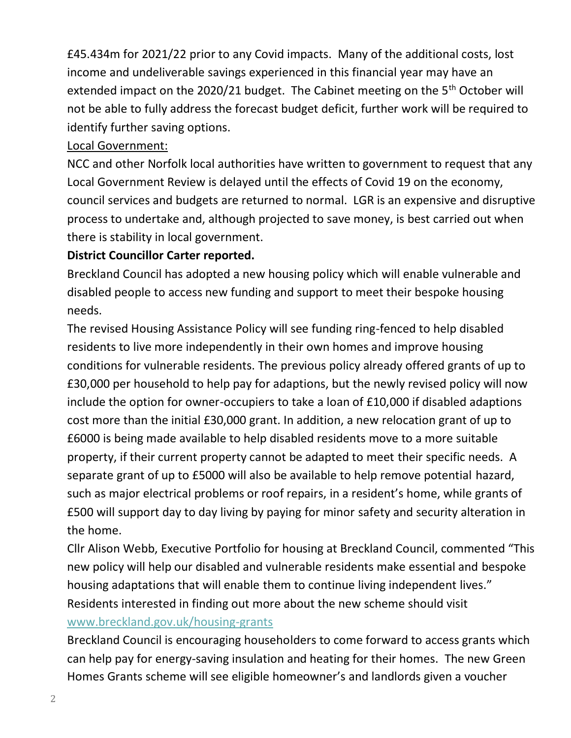£45.434m for 2021/22 prior to any Covid impacts. Many of the additional costs, lost income and undeliverable savings experienced in this financial year may have an extended impact on the 2020/21 budget. The Cabinet meeting on the 5<sup>th</sup> October will not be able to fully address the forecast budget deficit, further work will be required to identify further saving options.

#### Local Government:

NCC and other Norfolk local authorities have written to government to request that any Local Government Review is delayed until the effects of Covid 19 on the economy, council services and budgets are returned to normal. LGR is an expensive and disruptive process to undertake and, although projected to save money, is best carried out when there is stability in local government.

### **District Councillor Carter reported.**

Breckland Council has adopted a new housing policy which will enable vulnerable and disabled people to access new funding and support to meet their bespoke housing needs.

The revised Housing Assistance Policy will see funding ring-fenced to help disabled residents to live more independently in their own homes and improve housing conditions for vulnerable residents. The previous policy already offered grants of up to £30,000 per household to help pay for adaptions, but the newly revised policy will now include the option for owner-occupiers to take a loan of £10,000 if disabled adaptions cost more than the initial £30,000 grant. In addition, a new relocation grant of up to £6000 is being made available to help disabled residents move to a more suitable property, if their current property cannot be adapted to meet their specific needs. A separate grant of up to £5000 will also be available to help remove potential hazard, such as major electrical problems or roof repairs, in a resident's home, while grants of £500 will support day to day living by paying for minor safety and security alteration in the home.

Cllr Alison Webb, Executive Portfolio for housing at Breckland Council, commented "This new policy will help our disabled and vulnerable residents make essential and bespoke housing adaptations that will enable them to continue living independent lives." Residents interested in finding out more about the new scheme should visit [www.breckland.gov.uk/housing-grants](http://www.breckland.gov.uk/housing-grants)

Breckland Council is encouraging householders to come forward to access grants which can help pay for energy-saving insulation and heating for their homes. The new Green Homes Grants scheme will see eligible homeowner's and landlords given a voucher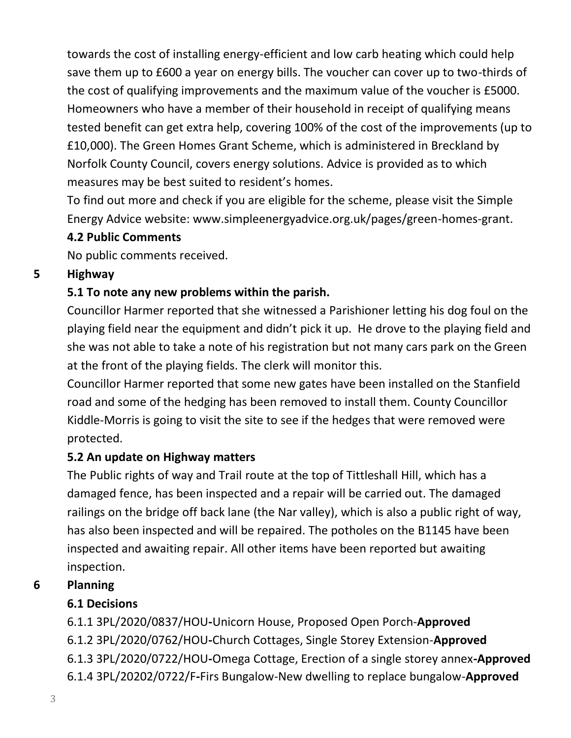towards the cost of installing energy-efficient and low carb heating which could help save them up to £600 a year on energy bills. The voucher can cover up to two-thirds of the cost of qualifying improvements and the maximum value of the voucher is £5000. Homeowners who have a member of their household in receipt of qualifying means tested benefit can get extra help, covering 100% of the cost of the improvements (up to £10,000). The Green Homes Grant Scheme, which is administered in Breckland by Norfolk County Council, covers energy solutions. Advice is provided as to which measures may be best suited to resident's homes.

To find out more and check if you are eligible for the scheme, please visit the Simple Energy Advice website: www.simpleenergyadvice.org.uk/pages/green-homes-grant.

### **4.2 Public Comments**

No public comments received.

#### **5 Highway**

## **5.1 To note any new problems within the parish.**

Councillor Harmer reported that she witnessed a Parishioner letting his dog foul on the playing field near the equipment and didn't pick it up. He drove to the playing field and she was not able to take a note of his registration but not many cars park on the Green at the front of the playing fields. The clerk will monitor this.

Councillor Harmer reported that some new gates have been installed on the Stanfield road and some of the hedging has been removed to install them. County Councillor Kiddle-Morris is going to visit the site to see if the hedges that were removed were protected.

### **5.2 An update on Highway matters**

The Public rights of way and Trail route at the top of Tittleshall Hill, which has a damaged fence, has been inspected and a repair will be carried out. The damaged railings on the bridge off back lane (the Nar valley), which is also a public right of way, has also been inspected and will be repaired. The potholes on the B1145 have been inspected and awaiting repair. All other items have been reported but awaiting inspection.

## **6 Planning**

## **6.1 Decisions**

6.1.1 3PL/2020/0837/HOU**-**Unicorn House, Proposed Open Porch-**Approved** 6.1.2 3PL/2020/0762/HOU**-**Church Cottages, Single Storey Extension-**Approved** 6.1.3 3PL/2020/0722/HOU**-**Omega Cottage, Erection of a single storey annex**-Approved** 6.1.4 3PL/20202/0722/F**-**Firs Bungalow-New dwelling to replace bungalow-**Approved**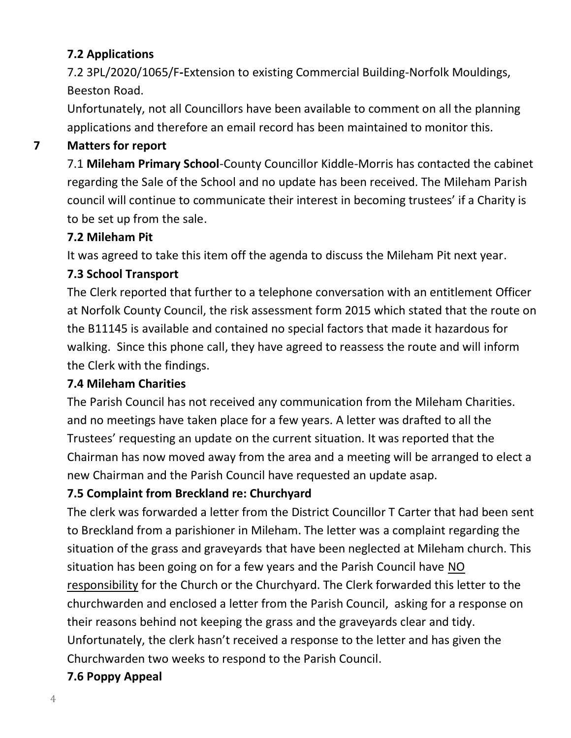## **7.2 Applications**

7.2 3PL/2020/1065/F**-**Extension to existing Commercial Building-Norfolk Mouldings, Beeston Road.

Unfortunately, not all Councillors have been available to comment on all the planning applications and therefore an email record has been maintained to monitor this.

## **7 Matters for report**

7.1 **Mileham Primary School**-County Councillor Kiddle-Morris has contacted the cabinet regarding the Sale of the School and no update has been received. The Mileham Parish council will continue to communicate their interest in becoming trustees' if a Charity is to be set up from the sale.

### **7.2 Mileham Pit**

It was agreed to take this item off the agenda to discuss the Mileham Pit next year.

### **7.3 School Transport**

The Clerk reported that further to a telephone conversation with an entitlement Officer at Norfolk County Council, the risk assessment form 2015 which stated that the route on the B11145 is available and contained no special factors that made it hazardous for walking. Since this phone call, they have agreed to reassess the route and will inform the Clerk with the findings.

### **7.4 Mileham Charities**

The Parish Council has not received any communication from the Mileham Charities. and no meetings have taken place for a few years. A letter was drafted to all the Trustees' requesting an update on the current situation. It was reported that the Chairman has now moved away from the area and a meeting will be arranged to elect a new Chairman and the Parish Council have requested an update asap.

### **7.5 Complaint from Breckland re: Churchyard**

The clerk was forwarded a letter from the District Councillor T Carter that had been sent to Breckland from a parishioner in Mileham. The letter was a complaint regarding the situation of the grass and graveyards that have been neglected at Mileham church. This situation has been going on for a few years and the Parish Council have NO responsibility for the Church or the Churchyard. The Clerk forwarded this letter to the churchwarden and enclosed a letter from the Parish Council, asking for a response on their reasons behind not keeping the grass and the graveyards clear and tidy. Unfortunately, the clerk hasn't received a response to the letter and has given the Churchwarden two weeks to respond to the Parish Council.

## **7.6 Poppy Appeal**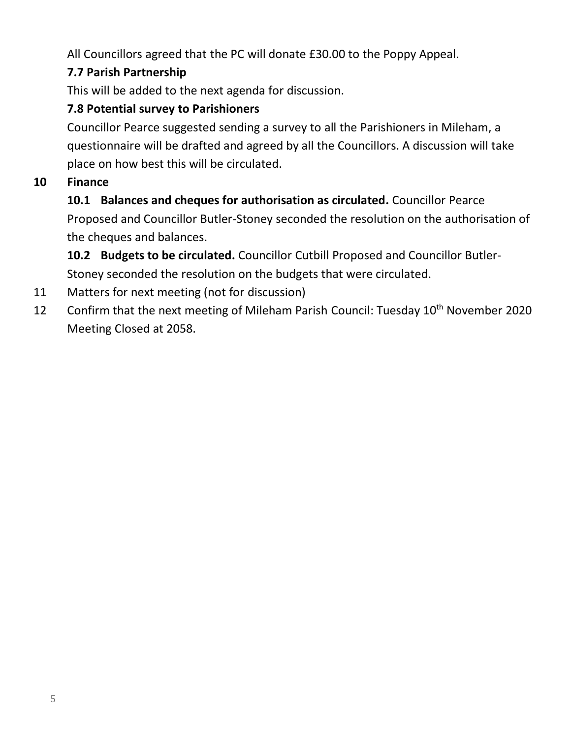All Councillors agreed that the PC will donate £30.00 to the Poppy Appeal.

## **7.7 Parish Partnership**

This will be added to the next agenda for discussion.

## **7.8 Potential survey to Parishioners**

Councillor Pearce suggested sending a survey to all the Parishioners in Mileham, a questionnaire will be drafted and agreed by all the Councillors. A discussion will take place on how best this will be circulated.

## **10 Finance**

## **10.1 Balances and cheques for authorisation as circulated.** Councillor Pearce Proposed and Councillor Butler-Stoney seconded the resolution on the authorisation of the cheques and balances.

**10.2 Budgets to be circulated.** Councillor Cutbill Proposed and Councillor Butler-

Stoney seconded the resolution on the budgets that were circulated.

- 11 Matters for next meeting (not for discussion)
- 12 Confirm that the next meeting of Mileham Parish Council: Tuesday 10<sup>th</sup> November 2020 Meeting Closed at 2058.